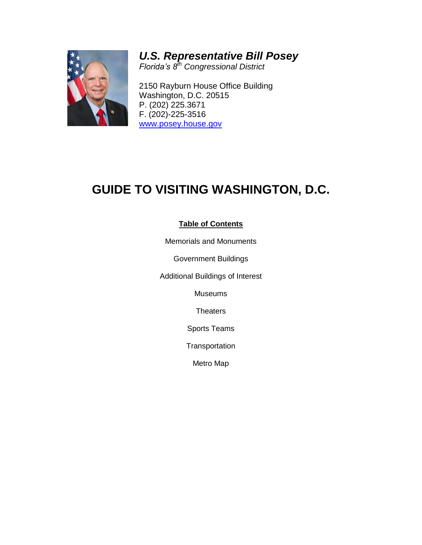

# *U.S. Representative Bill Posey*

*Florida's 8th Congressional District*

2150 Rayburn House Office Building Washington, D.C. 20515 P. (202) 225.3671 F. (202)-225-3516 [www.posey.house.gov](http://www.posey.house.gov/)

# **GUIDE TO VISITING WASHINGTON, D.C.**

# **Table of Contents**

Memorials and Monuments

Government Buildings

Additional Buildings of Interest

Museums

**Theaters** 

Sports Teams

**Transportation** 

Metro Map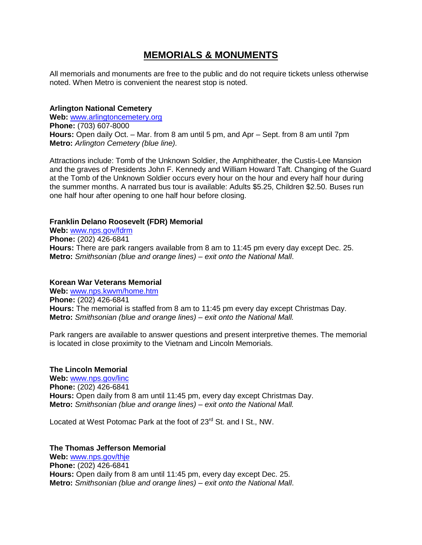# **MEMORIALS & MONUMENTS**

All memorials and monuments are free to the public and do not require tickets unless otherwise noted. When Metro is convenient the nearest stop is noted.

#### **Arlington National Cemetery**

**Web:** [www.arlingtoncemetery.org](http://www.arlingtoncemetery.org/) **Phone:** (703) 607-8000 **Hours:** Open daily Oct. – Mar. from 8 am until 5 pm, and Apr – Sept. from 8 am until 7pm **Metro:** *Arlington Cemetery (blue line).*

Attractions include: Tomb of the Unknown Soldier, the Amphitheater, the Custis-Lee Mansion and the graves of Presidents John F. Kennedy and William Howard Taft. Changing of the Guard at the Tomb of the Unknown Soldier occurs every hour on the hour and every half hour during the summer months. A narrated bus tour is available: Adults \$5.25, Children \$2.50. Buses run one half hour after opening to one half hour before closing.

#### **Franklin Delano Roosevelt (FDR) Memorial**

**Web:** [www.nps.gov/fdrm](http://www.nps.gov/fdrm) **Phone:** (202) 426-6841 **Hours:** There are park rangers available from 8 am to 11:45 pm every day except Dec. 25. **Metro:** *Smithsonian (blue and orange lines) – exit onto the National Mall*.

#### **Korean War Veterans Memorial**

**Web:** [www.nps.kwvm/home.htm](http://www.nps.kwvm/home.htm) **Phone:** (202) 426-6841 **Hours:** The memorial is staffed from 8 am to 11:45 pm every day except Christmas Day. **Metro:** *Smithsonian (blue and orange lines) – exit onto the National Mall.* 

Park rangers are available to answer questions and present interpretive themes. The memorial is located in close proximity to the Vietnam and Lincoln Memorials.

#### **The Lincoln Memorial**

**Web:** [www.nps.gov/linc](http://www.nps.gov/linc) **Phone:** (202) 426-6841 **Hours:** Open daily from 8 am until 11:45 pm, every day except Christmas Day. **Metro:** *Smithsonian (blue and orange lines) – exit onto the National Mall.* 

Located at West Potomac Park at the foot of 23<sup>rd</sup> St. and I St., NW.

#### **The Thomas Jefferson Memorial**

**Web:** [www.nps.gov/thje](http://www.nps.gov/thje) **Phone:** (202) 426-6841 **Hours:** Open daily from 8 am until 11:45 pm, every day except Dec. 25. **Metro:** *Smithsonian (blue and orange lines) – exit onto the National Mall*.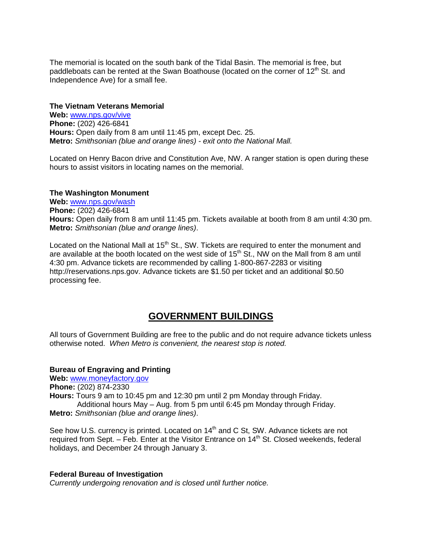The memorial is located on the south bank of the Tidal Basin. The memorial is free, but paddleboats can be rented at the Swan Boathouse (located on the corner of  $12<sup>th</sup>$  St. and Independence Ave) for a small fee.

#### **The Vietnam Veterans Memorial**

**Web:** [www.nps.gov/vive](http://www.nps.gov/vive) **Phone:** (202) 426-6841 **Hours:** Open daily from 8 am until 11:45 pm, except Dec. 25. **Metro:** *Smithsonian (blue and orange lines) - exit onto the National Mall.*

Located on Henry Bacon drive and Constitution Ave, NW. A ranger station is open during these hours to assist visitors in locating names on the memorial.

#### **The Washington Monument**

**Web:** [www.nps.gov/wash](http://www.nps.gov/wash) **Phone:** (202) 426-6841 **Hours:** Open daily from 8 am until 11:45 pm. Tickets available at booth from 8 am until 4:30 pm. **Metro:** *Smithsonian (blue and orange lines)*.

Located on the National Mall at 15<sup>th</sup> St., SW. Tickets are required to enter the monument and are available at the booth located on the west side of  $15<sup>th</sup>$  St., NW on the Mall from 8 am until 4:30 pm. Advance tickets are recommended by calling 1-800-867-2283 or visiting http://reservations.nps.gov. Advance tickets are \$1.50 per ticket and an additional \$0.50 processing fee.

# **GOVERNMENT BUILDINGS**

All tours of Government Building are free to the public and do not require advance tickets unless otherwise noted. *When Metro is convenient, the nearest stop is noted.*

#### **Bureau of Engraving and Printing**

**Web:** [www.moneyfactory.gov](http://www.moneyfactory.gov/) **Phone:** (202) 874-2330 **Hours:** Tours 9 am to 10:45 pm and 12:30 pm until 2 pm Monday through Friday. Additional hours May – Aug. from 5 pm until 6:45 pm Monday through Friday. **Metro:** *Smithsonian (blue and orange lines)*.

See how U.S. currency is printed. Located on 14<sup>th</sup> and C St, SW. Advance tickets are not required from Sept.  $-$  Feb. Enter at the Visitor Entrance on 14<sup>th</sup> St. Closed weekends, federal holidays, and December 24 through January 3.

#### **Federal Bureau of Investigation**

*Currently undergoing renovation and is closed until further notice.*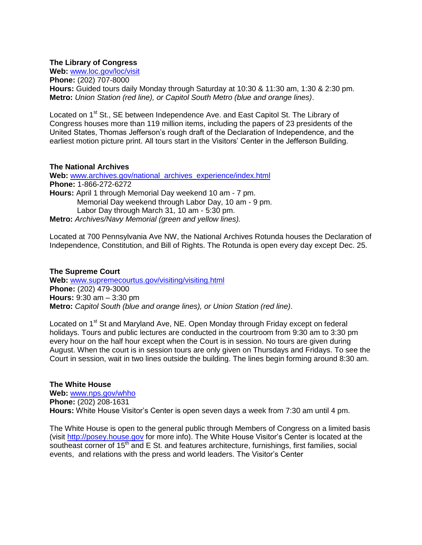#### **The Library of Congress**

**Web:** [www.loc.gov/loc/visit](http://www.loc.gov/loc/visit) **Phone:** (202) 707-8000 **Hours:** Guided tours daily Monday through Saturday at 10:30 & 11:30 am, 1:30 & 2:30 pm. **Metro:** *Union Station (red line), or Capitol South Metro (blue and orange lines)*.

Located on 1<sup>st</sup> St., SE between Independence Ave. and East Capitol St. The Library of Congress houses more than 119 million items, including the papers of 23 presidents of the United States, Thomas Jefferson's rough draft of the Declaration of Independence, and the earliest motion picture print. All tours start in the Visitors' Center in the Jefferson Building.

#### **The National Archives**

**Web:** [www.archives.gov/national\\_archives\\_experience/index.html](http://www.archives.gov/national_archives_experience/index.html) **Phone:** 1-866-272-6272 **Hours:** April 1 through Memorial Day weekend 10 am - 7 pm. Memorial Day weekend through Labor Day, 10 am - 9 pm. Labor Day through March 31, 10 am - 5:30 pm. **Metro:** *Archives/Navy Memorial (green and yellow lines).*

Located at 700 Pennsylvania Ave NW, the National Archives Rotunda houses the Declaration of Independence, Constitution, and Bill of Rights. The Rotunda is open every day except Dec. 25.

#### **The Supreme Court**

**Web:** [www.supremecourtus.gov/visiting/visiting.html](http://www.supremecourtus.gov/visiting/visiting.html) **Phone:** (202) 479-3000 **Hours:** 9:30 am – 3:30 pm **Metro:** *Capitol South (blue and orange lines), or Union Station (red line)*.

Located on 1<sup>st</sup> St and Maryland Ave, NE. Open Monday through Friday except on federal holidays. Tours and public lectures are conducted in the courtroom from 9:30 am to 3:30 pm every hour on the half hour except when the Court is in session. No tours are given during August. When the court is in session tours are only given on Thursdays and Fridays. To see the Court in session, wait in two lines outside the building. The lines begin forming around 8:30 am.

**The White House Web:** [www.nps.gov/whho](http://www.nps.gov/whho) **Phone:** (202) 208-1631 **Hours:** White House Visitor's Center is open seven days a week from 7:30 am until 4 pm.

The White House is open to the general public through Members of Congress on a limited basis (visit [http://posey.house.gov](http://posey.house.gov/) for more info). The White House Visitor's Center is located at the southeast corner of  $15<sup>th</sup>$  and E St. and features architecture, furnishings, first families, social events, and relations with the press and world leaders. The Visitor's Center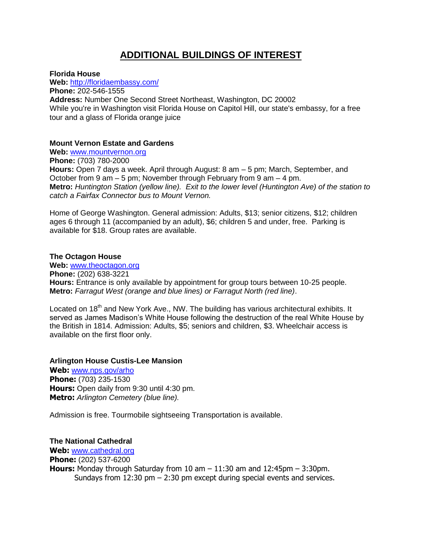# **ADDITIONAL BUILDINGS OF INTEREST**

**Florida House**

**Web:** <http://floridaembassy.com/> **Phone:** 202-546-1555 **Address:** Number One Second Street Northeast, Washington, DC 20002 While you're in Washington visit Florida House on Capitol Hill, our state's embassy, for a free tour and a glass of Florida orange juice

### **Mount Vernon Estate and Gardens**

**Web:** [www.mountvernon.org](http://www.mountvernon.org/) **Phone:** (703) 780-2000 **Hours:** Open 7 days a week. April through August: 8 am – 5 pm; March, September, and October from 9 am – 5 pm; November through February from 9 am – 4 pm. **Metro:** *Huntington Station (yellow line). Exit to the lower level (Huntington Ave) of the station to catch a Fairfax Connector bus to Mount Vernon.*

Home of George Washington. General admission: Adults, \$13; senior citizens, \$12; children ages 6 through 11 (accompanied by an adult), \$6; children 5 and under, free. Parking is available for \$18. Group rates are available.

### **The Octagon House**

**Web:** [www.theoctagon.org](http://www.theoctagon.org/) **Phone:** (202) 638-3221 **Hours:** Entrance is only available by appointment for group tours between 10-25 people. **Metro:** *Farragut West (orange and blue lines) or Farragut North (red line)*.

Located on 18<sup>th</sup> and New York Ave., NW. The building has various architectural exhibits. It served as James Madison's White House following the destruction of the real White House by the British in 1814. Admission: Adults, \$5; seniors and children, \$3. Wheelchair access is available on the first floor only.

### **Arlington House Custis-Lee Mansion**

**Web:** [www.nps.gov/arho](http://www.nps.gov/arho) **Phone:** (703) 235-1530 **Hours:** Open daily from 9:30 until 4:30 pm. **Metro:** *Arlington Cemetery (blue line).*

Admission is free. Tourmobile sightseeing Transportation is available.

### **The National Cathedral**

**Web:** [www.cathedral.org](http://www.cathedral.org/) **Phone:** (202) 537-6200 **Hours:** Monday through Saturday from 10 am – 11:30 am and 12:45pm – 3:30pm. Sundays from  $12:30$  pm  $-2:30$  pm except during special events and services.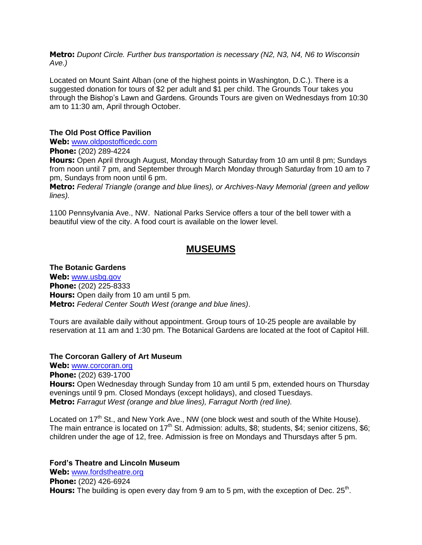**Metro:** *Dupont Circle. Further bus transportation is necessary (N2, N3, N4, N6 to Wisconsin Ave.)*

Located on Mount Saint Alban (one of the highest points in Washington, D.C.). There is a suggested donation for tours of \$2 per adult and \$1 per child. The Grounds Tour takes you through the Bishop's Lawn and Gardens. Grounds Tours are given on Wednesdays from 10:30 am to 11:30 am, April through October.

#### **The Old Post Office Pavilion**

**Web:** [www.oldpostofficedc.com](http://www.oldpostofficedc.com/)

**Phone:** (202) 289-4224

**Hours:** Open April through August, Monday through Saturday from 10 am until 8 pm; Sundays from noon until 7 pm, and September through March Monday through Saturday from 10 am to 7 pm, Sundays from noon until 6 pm.

**Metro:** *Federal Triangle (orange and blue lines), or Archives-Navy Memorial (green and yellow lines).*

1100 Pennsylvania Ave., NW. National Parks Service offers a tour of the bell tower with a beautiful view of the city. A food court is available on the lower level.

# **MUSEUMS**

**The Botanic Gardens Web:** [www.usbg.gov](http://www.usbg.gov/) **Phone:** (202) 225-8333 **Hours:** Open daily from 10 am until 5 pm. **Metro:** *Federal Center South West (orange and blue lines)*.

Tours are available daily without appointment. Group tours of 10-25 people are available by reservation at 11 am and 1:30 pm. The Botanical Gardens are located at the foot of Capitol Hill.

#### **The Corcoran Gallery of Art Museum**

**Web:** [www.corcoran.org](http://www.corcoran.org/)

**Phone:** (202) 639-1700

**Hours:** Open Wednesday through Sunday from 10 am until 5 pm, extended hours on Thursday evenings until 9 pm. Closed Mondays (except holidays), and closed Tuesdays. **Metro:** *Farragut West (orange and blue lines), Farragut North (red line).*

Located on 17<sup>th</sup> St., and New York Ave., NW (one block west and south of the White House). The main entrance is located on 17<sup>th</sup> St. Admission: adults, \$8; students, \$4; senior citizens, \$6; children under the age of 12, free. Admission is free on Mondays and Thursdays after 5 pm.

**Ford's Theatre and Lincoln Museum**

**Web:** [www.fordstheatre.org](http://www.fordstheatre.org/) **Phone:** (202) 426-6924 Hours: The building is open every day from 9 am to 5 pm, with the exception of Dec. 25<sup>th</sup>.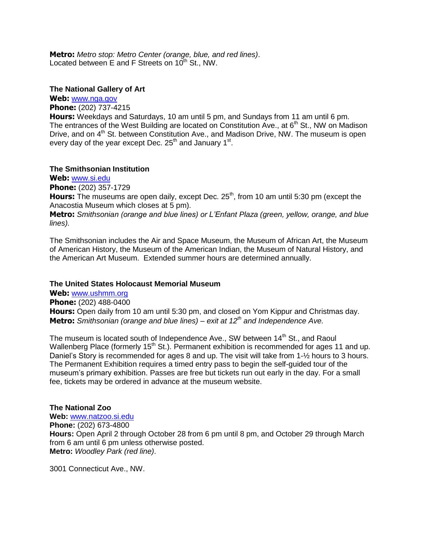**Metro:** *Metro stop: Metro Center (orange, blue, and red lines)*. Located between E and F Streets on  $10^{th}$  St., NW.

#### **The National Gallery of Art**

**Web:** [www.nga.gov](http://www.nga.gov/)

**Phone:** (202) 737-4215

**Hours:** Weekdays and Saturdays, 10 am until 5 pm, and Sundays from 11 am until 6 pm. The entrances of the West Building are located on Constitution Ave., at 6<sup>th</sup> St., NW on Madison Drive, and on 4<sup>th</sup> St. between Constitution Ave., and Madison Drive, NW. The museum is open every day of the year except Dec. 25<sup>th</sup> and January 1<sup>st</sup>.

#### **The Smithsonian Institution**

**Web:** [www.si.edu](http://www.si.edu/)

**Phone:** (202) 357-1729

**Hours:** The museums are open daily, except Dec. 25<sup>th</sup>, from 10 am until 5:30 pm (except the Anacostia Museum which closes at 5 pm).

**Metro:** *Smithsonian (orange and blue lines) or L'Enfant Plaza (green, yellow, orange, and blue lines).* 

The Smithsonian includes the Air and Space Museum, the Museum of African Art, the Museum of American History, the Museum of the American Indian, the Museum of Natural History, and the American Art Museum. Extended summer hours are determined annually.

#### **The United States Holocaust Memorial Museum**

**Web:** [www.ushmm.org](http://www.ushmm.org/) **Phone:** (202) 488-0400 **Hours:** Open daily from 10 am until 5:30 pm, and closed on Yom Kippur and Christmas day. **Metro:** *Smithsonian (orange and blue lines) – exit at 12th and Independence Ave.*

The museum is located south of Independence Ave., SW between 14<sup>th</sup> St., and Raoul Wallenberg Place (formerly 15<sup>th</sup> St.). Permanent exhibition is recommended for ages 11 and up. Daniel's Story is recommended for ages 8 and up. The visit will take from 1- $\frac{1}{2}$  hours to 3 hours. The Permanent Exhibition requires a timed entry pass to begin the self-guided tour of the museum's primary exhibition. Passes are free but tickets run out early in the day. For a small fee, tickets may be ordered in advance at the museum website.

#### **The National Zoo**

**Web:** [www.natzoo.si.edu](http://www.natzoo.si.edu/) **Phone:** (202) 673-4800 **Hours:** Open April 2 through October 28 from 6 pm until 8 pm, and October 29 through March from 6 am until 6 pm unless otherwise posted. **Metro:** *Woodley Park (red line)*.

3001 Connecticut Ave., NW.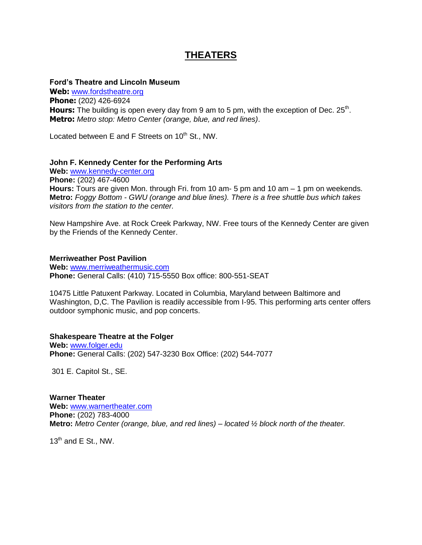# **THEATERS**

#### **Ford's Theatre and Lincoln Museum**

**Web:** [www.fordstheatre.org](http://www.fordstheatre.org/) **Phone:** (202) 426-6924 Hours: The building is open every day from 9 am to 5 pm, with the exception of Dec. 25<sup>th</sup>. **Metro:** *Metro stop: Metro Center (orange, blue, and red lines)*.

Located between E and F Streets on  $10^{th}$  St., NW.

#### **John F. Kennedy Center for the Performing Arts**

**Web:** [www.kennedy-center.org](http://www.kennedy-center.org/) **Phone:** (202) 467-4600 **Hours:** Tours are given Mon. through Fri. from 10 am- 5 pm and 10 am – 1 pm on weekends. **Metro:** *Foggy Bottom - GWU (orange and blue lines). There is a free shuttle bus which takes visitors from the station to the center.*

New Hampshire Ave. at Rock Creek Parkway, NW. Free tours of the Kennedy Center are given by the Friends of the Kennedy Center.

#### **Merriweather Post Pavilion**

**Web:** [www.merriweathermusic.com](http://www.merriweathermusic.com/) **Phone:** General Calls: (410) 715-5550 Box office: 800-551-SEAT

10475 Little Patuxent Parkway. Located in Columbia, Maryland between Baltimore and Washington, D,C. The Pavilion is readily accessible from I-95. This performing arts center offers outdoor symphonic music, and pop concerts.

### **Shakespeare Theatre at the Folger**

**Web:** [www.folger.edu](http://www.folger.edu/) **Phone:** General Calls: (202) 547-3230 Box Office: (202) 544-7077

301 E. Capitol St., SE.

**Warner Theater Web:** [www.warnertheater.com](http://www.warnertheater.com/) **Phone:** (202) 783-4000 **Metro:** *Metro Center (orange, blue, and red lines) – located ½ block north of the theater.*

 $13<sup>th</sup>$  and E St., NW.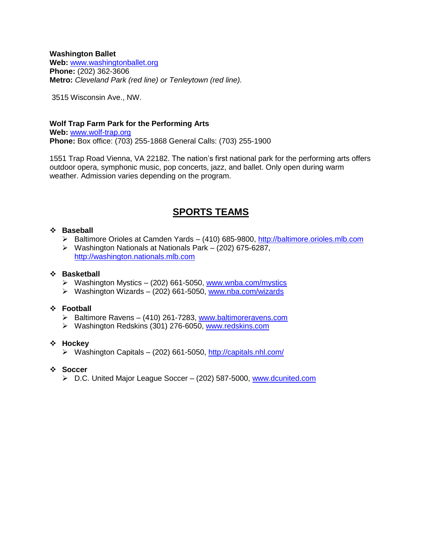#### **Washington Ballet**

**Web:** [www.washingtonballet.org](http://www.washingtonballet.org/) **Phone:** (202) 362-3606 **Metro:** *Cleveland Park (red line) or Tenleytown (red line).* 

3515 Wisconsin Ave., NW.

### **Wolf Trap Farm Park for the Performing Arts Web:** [www.wolf-trap.org](http://www.wolf-trap.org/) **Phone:** Box office: (703) 255-1868 General Calls: (703) 255-1900

1551 Trap Road Vienna, VA 22182. The nation's first national park for the performing arts offers outdoor opera, symphonic music, pop concerts, jazz, and ballet. Only open during warm weather. Admission varies depending on the program.

# **SPORTS TEAMS**

### **Baseball**

- Baltimore Orioles at Camden Yards (410) 685-9800, [http://baltimore.orioles.mlb.com](http://baltimore.orioles.mlb.com/)
- Washington Nationals at Nationals Park (202) 675-6287, [http://washington.nationals.mlb.com](http://washington.nationals.mlb.com/)

### **Basketball**

- Washington Mystics (202) 661-5050, [www.wnba.com/mystics](http://www.wnba.com/mystics)
- Washington Wizards (202) 661-5050, [www.nba.com/wizards](http://www.nba.com/wizards)

### **Football**

- ▶ Baltimore Ravens (410) 261-7283, [www.baltimoreravens.com](http://www.baltimoreravens.com/)
- Washington Redskins (301) 276-6050, [www.redskins.com](http://www.redskins.com/)

#### **Hockey**

- $\triangleright$  Washington Capitals (202) 661-5050,<http://capitals.nhl.com/>
- **Soccer**
	- ▶ D.C. United Major League Soccer (202) 587-5000, [www.dcunited.com](http://www.dcunited.com/)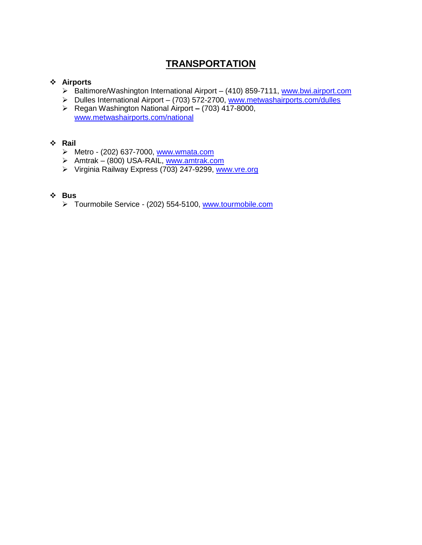# **TRANSPORTATION**

# **Airports**

- ▶ Baltimore/Washington International Airport (410) 859-7111, [www.bwi.airport.com](http://www.bwi.airport.com/)
- ▶ Dulles International Airport (703) 572-2700, [www.metwashairports.com/dulles](http://www.metwashairports.com/dulles)
- Regan Washington National Airport **–** (703) 417-8000, [www.metwashairports.com/national](http://www.metwashairports.com/national)

# **Rail**

- Metro (202) 637-7000, [www.wmata.com](http://www.wmata.com/)
- Amtrak (800) USA-RAIL, [www.amtrak.com](http://www.amtrak.com/)
- ▶ Virginia Railway Express (703) 247-9299, [www.vre.org](http://www.vre.org/)

# **Bus**

> Tourmobile Service - (202) 554-5100, [www.tourmobile.com](http://www.tourmobile.com/)